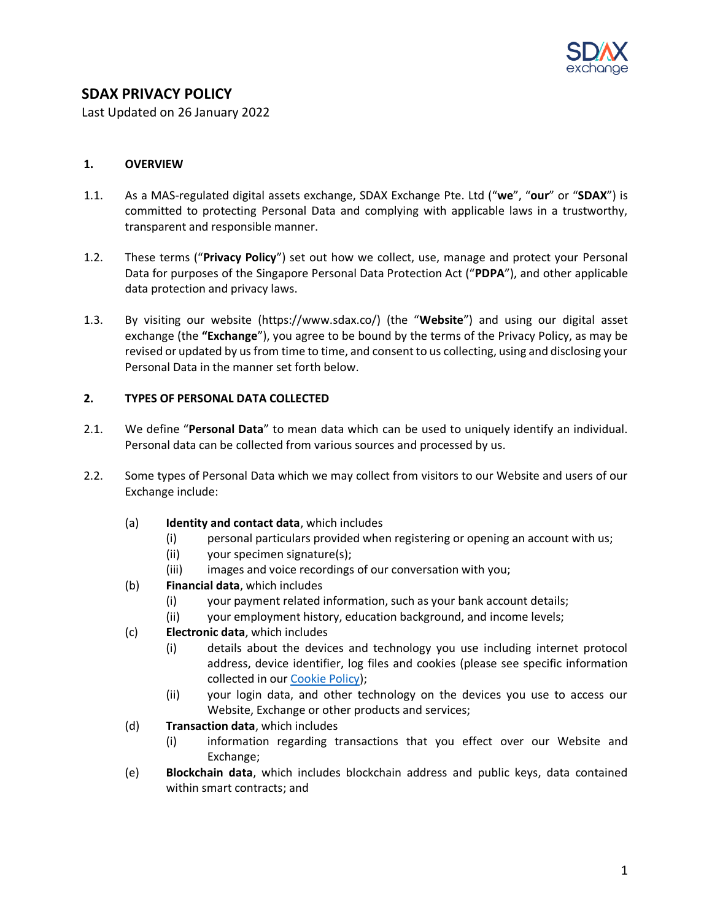

# **SDAX PRIVACY POLICY**

Last Updated on 26 January 2022

#### **1. OVERVIEW**

- 1.1. As a MAS-regulated digital assets exchange, SDAX Exchange Pte. Ltd ("**we**", "**our**" or "**SDAX**") is committed to protecting Personal Data and complying with applicable laws in a trustworthy, transparent and responsible manner.
- 1.2. These terms ("**Privacy Policy**") set out how we collect, use, manage and protect your Personal Data for purposes of the Singapore Personal Data Protection Act ("**PDPA**"), and other applicable data protection and privacy laws.
- 1.3. By visiting our website (https://www.sdax.co/) (the "**Website**") and using our digital asset exchange (the **"Exchange**"), you agree to be bound by the terms of the Privacy Policy, as may be revised or updated by us from time to time, and consent to us collecting, using and disclosing your Personal Data in the manner set forth below.

# **2. TYPES OF PERSONAL DATA COLLECTED**

- 2.1. We define "**Personal Data**" to mean data which can be used to uniquely identify an individual. Personal data can be collected from various sources and processed by us.
- 2.2. Some types of Personal Data which we may collect from visitors to our Website and users of our Exchange include:
	- (a) **Identity and contact data**, which includes
		- (i) personal particulars provided when registering or opening an account with us;
		- (ii) your specimen signature(s);
		- (iii) images and voice recordings of our conversation with you;
	- (b) **Financial data**, which includes
		- (i) your payment related information, such as your bank account details;
		- (ii) your employment history, education background, and income levels;
	- (c) **Electronic data**, which includes
		- (i) details about the devices and technology you use including internet protocol address, device identifier, log files and cookies (please see specific information collected in our [Cookie Policy\)](https://www.sdax.co/policy/cookiepolicy/);
		- (ii) your login data, and other technology on the devices you use to access our Website, Exchange or other products and services;
	- (d) **Transaction data**, which includes
		- (i) information regarding transactions that you effect over our Website and Exchange;
	- (e) **Blockchain data**, which includes blockchain address and public keys, data contained within smart contracts; and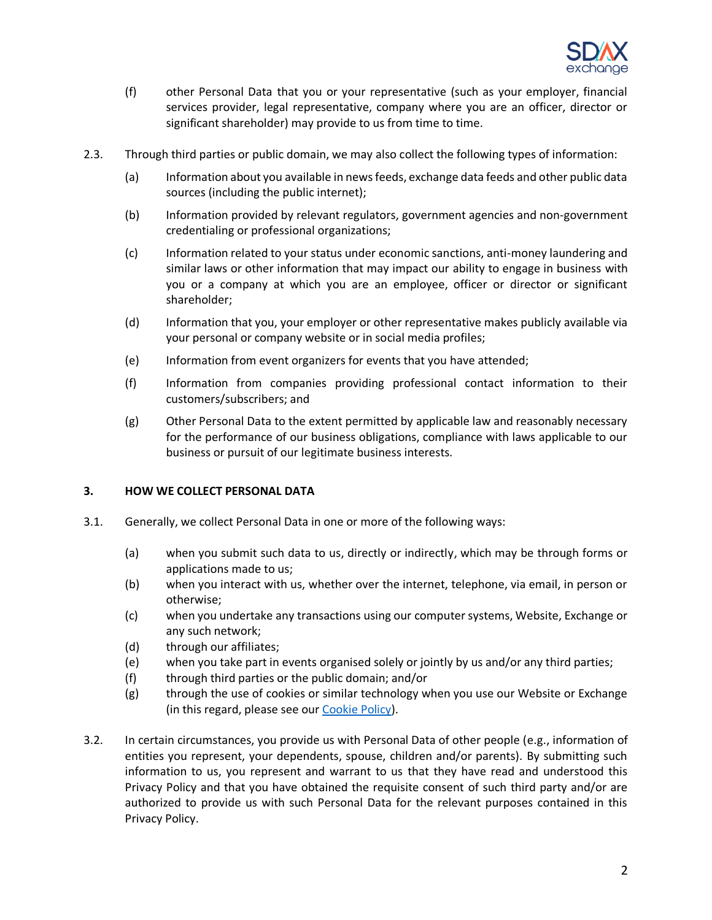

- (f) other Personal Data that you or your representative (such as your employer, financial services provider, legal representative, company where you are an officer, director or significant shareholder) may provide to us from time to time.
- 2.3. Through third parties or public domain, we may also collect the following types of information:
	- (a) Information about you available in news feeds, exchange data feeds and other public data sources (including the public internet);
	- (b) Information provided by relevant regulators, government agencies and non-government credentialing or professional organizations;
	- (c) Information related to your status under economic sanctions, anti-money laundering and similar laws or other information that may impact our ability to engage in business with you or a company at which you are an employee, officer or director or significant shareholder;
	- (d) Information that you, your employer or other representative makes publicly available via your personal or company website or in social media profiles;
	- (e) Information from event organizers for events that you have attended;
	- (f) Information from companies providing professional contact information to their customers/subscribers; and
	- (g) Other Personal Data to the extent permitted by applicable law and reasonably necessary for the performance of our business obligations, compliance with laws applicable to our business or pursuit of our legitimate business interests.

#### **3. HOW WE COLLECT PERSONAL DATA**

- 3.1. Generally, we collect Personal Data in one or more of the following ways:
	- (a) when you submit such data to us, directly or indirectly, which may be through forms or applications made to us;
	- (b) when you interact with us, whether over the internet, telephone, via email, in person or otherwise;
	- (c) when you undertake any transactions using our computer systems, Website, Exchange or any such network;
	- (d) through our affiliates;
	- (e) when you take part in events organised solely or jointly by us and/or any third parties;
	- (f) through third parties or the public domain; and/or
	- (g) through the use of cookies or similar technology when you use our Website or Exchange (in this regard, please see our [Cookie Policy\)](https://www.sdax.co/policy/cookiepolicy/).
- 3.2. In certain circumstances, you provide us with Personal Data of other people (e.g., information of entities you represent, your dependents, spouse, children and/or parents). By submitting such information to us, you represent and warrant to us that they have read and understood this Privacy Policy and that you have obtained the requisite consent of such third party and/or are authorized to provide us with such Personal Data for the relevant purposes contained in this Privacy Policy.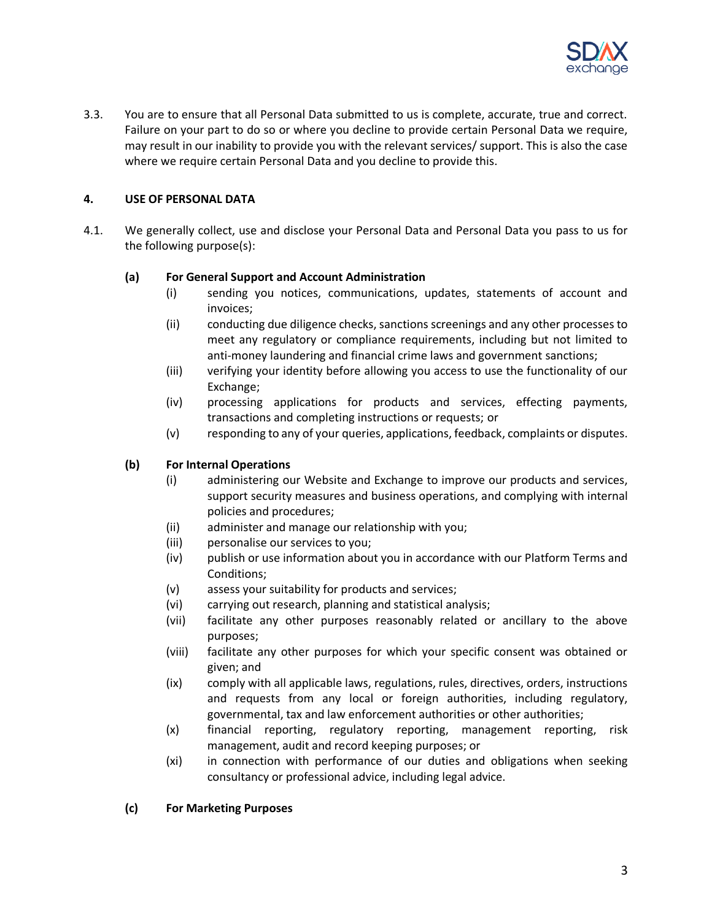

3.3. You are to ensure that all Personal Data submitted to us is complete, accurate, true and correct. Failure on your part to do so or where you decline to provide certain Personal Data we require, may result in our inability to provide you with the relevant services/ support. This is also the case where we require certain Personal Data and you decline to provide this.

# **4. USE OF PERSONAL DATA**

4.1. We generally collect, use and disclose your Personal Data and Personal Data you pass to us for the following purpose(s):

## **(a) For General Support and Account Administration**

- (i) sending you notices, communications, updates, statements of account and invoices;
- (ii) conducting due diligence checks, sanctions screenings and any other processes to meet any regulatory or compliance requirements, including but not limited to anti-money laundering and financial crime laws and government sanctions;
- (iii) verifying your identity before allowing you access to use the functionality of our Exchange;
- (iv) processing applications for products and services, effecting payments, transactions and completing instructions or requests; or
- (v) responding to any of your queries, applications, feedback, complaints or disputes.

# **(b) For Internal Operations**

- (i) administering our Website and Exchange to improve our products and services, support security measures and business operations, and complying with internal policies and procedures;
- (ii) administer and manage our relationship with you;
- (iii) personalise our services to you;
- (iv) publish or use information about you in accordance with our Platform Terms and Conditions;
- (v) assess your suitability for products and services;
- (vi) carrying out research, planning and statistical analysis;
- (vii) facilitate any other purposes reasonably related or ancillary to the above purposes;
- (viii) facilitate any other purposes for which your specific consent was obtained or given; and
- (ix) comply with all applicable laws, regulations, rules, directives, orders, instructions and requests from any local or foreign authorities, including regulatory, governmental, tax and law enforcement authorities or other authorities;
- (x) financial reporting, regulatory reporting, management reporting, risk management, audit and record keeping purposes; or
- (xi) in connection with performance of our duties and obligations when seeking consultancy or professional advice, including legal advice.

## **(c) For Marketing Purposes**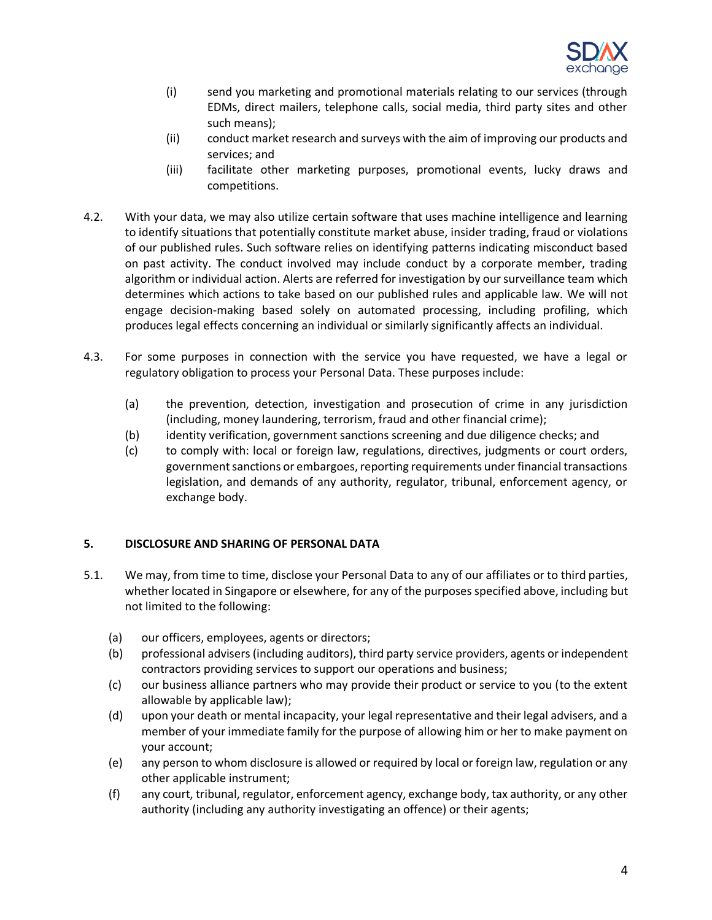

- (i) send you marketing and promotional materials relating to our services (through EDMs, direct mailers, telephone calls, social media, third party sites and other such means);
- (ii) conduct market research and surveys with the aim of improving our products and services; and
- (iii) facilitate other marketing purposes, promotional events, lucky draws and competitions.
- 4.2. With your data, we may also utilize certain software that uses machine intelligence and learning to identify situations that potentially constitute market abuse, insider trading, fraud or violations of our published rules. Such software relies on identifying patterns indicating misconduct based on past activity. The conduct involved may include conduct by a corporate member, trading algorithm or individual action. Alerts are referred for investigation by our surveillance team which determines which actions to take based on our published rules and applicable law. We will not engage decision-making based solely on automated processing, including profiling, which produces legal effects concerning an individual or similarly significantly affects an individual.
- 4.3. For some purposes in connection with the service you have requested, we have a legal or regulatory obligation to process your Personal Data. These purposes include:
	- (a) the prevention, detection, investigation and prosecution of crime in any jurisdiction (including, money laundering, terrorism, fraud and other financial crime);
	- (b) identity verification, government sanctions screening and due diligence checks; and
	- (c) to comply with: local or foreign law, regulations, directives, judgments or court orders, government sanctions or embargoes, reporting requirements under financial transactions legislation, and demands of any authority, regulator, tribunal, enforcement agency, or exchange body.

## **5. DISCLOSURE AND SHARING OF PERSONAL DATA**

- 5.1. We may, from time to time, disclose your Personal Data to any of our affiliates or to third parties, whether located in Singapore or elsewhere, for any of the purposes specified above, including but not limited to the following:
	- (a) our officers, employees, agents or directors;
	- (b) professional advisers (including auditors), third party service providers, agents or independent contractors providing services to support our operations and business;
	- (c) our business alliance partners who may provide their product or service to you (to the extent allowable by applicable law);
	- (d) upon your death or mental incapacity, your legal representative and their legal advisers, and a member of your immediate family for the purpose of allowing him or her to make payment on your account;
	- (e) any person to whom disclosure is allowed or required by local or foreign law, regulation or any other applicable instrument;
	- (f) any court, tribunal, regulator, enforcement agency, exchange body, tax authority, or any other authority (including any authority investigating an offence) or their agents;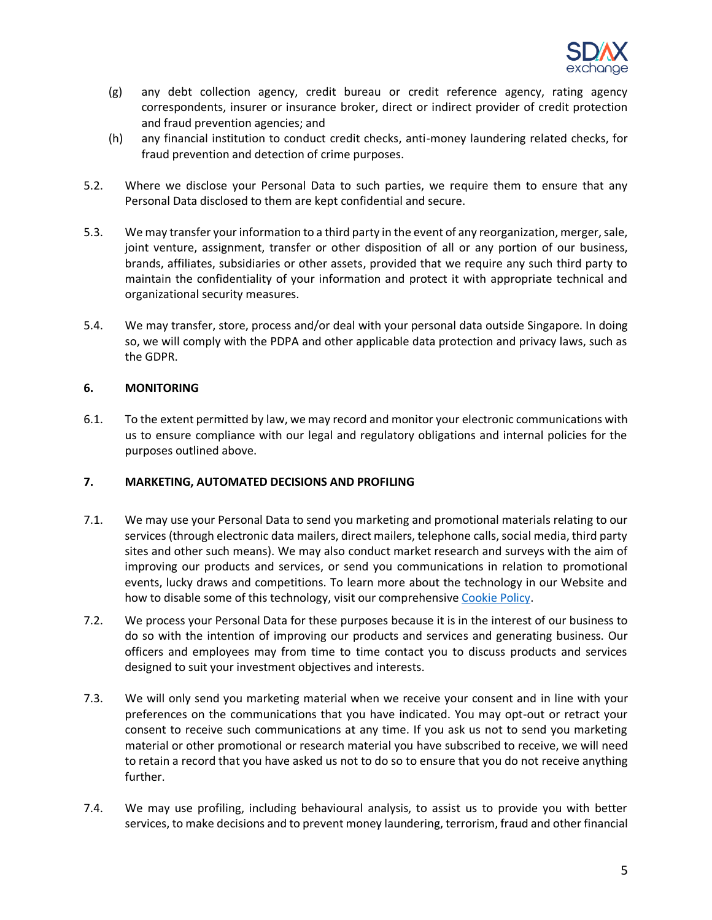

- (g) any debt collection agency, credit bureau or credit reference agency, rating agency correspondents, insurer or insurance broker, direct or indirect provider of credit protection and fraud prevention agencies; and
- (h) any financial institution to conduct credit checks, anti-money laundering related checks, for fraud prevention and detection of crime purposes.
- 5.2. Where we disclose your Personal Data to such parties, we require them to ensure that any Personal Data disclosed to them are kept confidential and secure.
- 5.3. We may transfer your information to a third party in the event of any reorganization, merger, sale, joint venture, assignment, transfer or other disposition of all or any portion of our business, brands, affiliates, subsidiaries or other assets, provided that we require any such third party to maintain the confidentiality of your information and protect it with appropriate technical and organizational security measures.
- 5.4. We may transfer, store, process and/or deal with your personal data outside Singapore. In doing so, we will comply with the PDPA and other applicable data protection and privacy laws, such as the GDPR.

## **6. MONITORING**

6.1. To the extent permitted by law, we may record and monitor your electronic communications with us to ensure compliance with our legal and regulatory obligations and internal policies for the purposes outlined above.

## **7. MARKETING, AUTOMATED DECISIONS AND PROFILING**

- 7.1. We may use your Personal Data to send you marketing and promotional materials relating to our services (through electronic data mailers, direct mailers, telephone calls, social media, third party sites and other such means). We may also conduct market research and surveys with the aim of improving our products and services, or send you communications in relation to promotional events, lucky draws and competitions. To learn more about the technology in our Website and how to disable some of this technology, visit our comprehensive [Cookie Policy.](https://www.sdax.co/policy/cookiepolicy/)
- 7.2. We process your Personal Data for these purposes because it is in the interest of our business to do so with the intention of improving our products and services and generating business. Our officers and employees may from time to time contact you to discuss products and services designed to suit your investment objectives and interests.
- 7.3. We will only send you marketing material when we receive your consent and in line with your preferences on the communications that you have indicated. You may opt-out or retract your consent to receive such communications at any time. If you ask us not to send you marketing material or other promotional or research material you have subscribed to receive, we will need to retain a record that you have asked us not to do so to ensure that you do not receive anything further.
- 7.4. We may use profiling, including behavioural analysis, to assist us to provide you with better services, to make decisions and to prevent money laundering, terrorism, fraud and other financial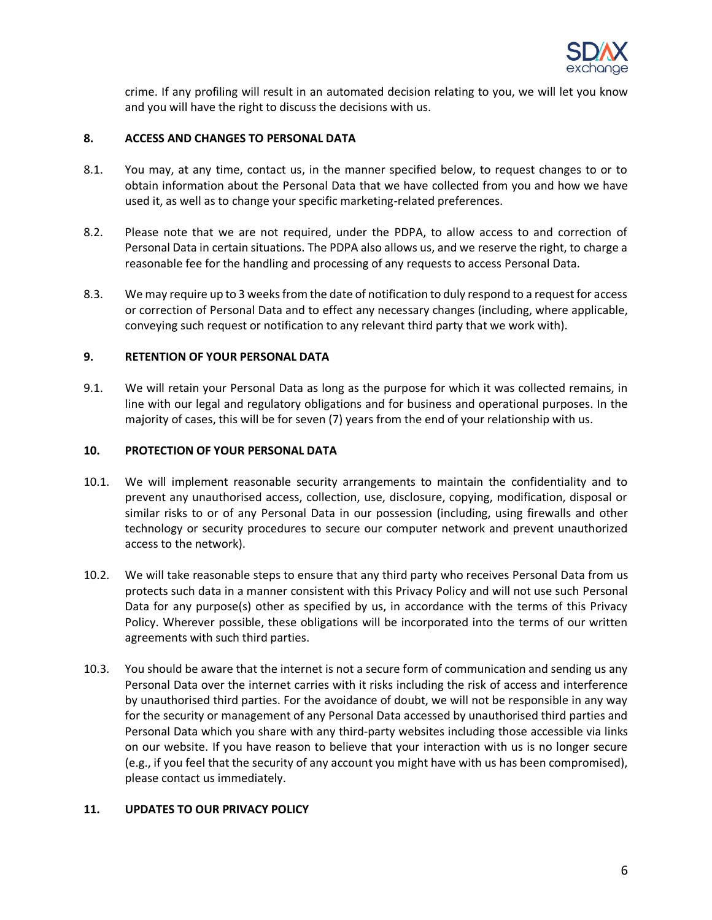

crime. If any profiling will result in an automated decision relating to you, we will let you know and you will have the right to discuss the decisions with us.

#### **8. ACCESS AND CHANGES TO PERSONAL DATA**

- 8.1. You may, at any time, contact us, in the manner specified below, to request changes to or to obtain information about the Personal Data that we have collected from you and how we have used it, as well as to change your specific marketing-related preferences.
- 8.2. Please note that we are not required, under the PDPA, to allow access to and correction of Personal Data in certain situations. The PDPA also allows us, and we reserve the right, to charge a reasonable fee for the handling and processing of any requests to access Personal Data.
- 8.3. We may require up to 3 weeks from the date of notification to duly respond to a request for access or correction of Personal Data and to effect any necessary changes (including, where applicable, conveying such request or notification to any relevant third party that we work with).

## **9. RETENTION OF YOUR PERSONAL DATA**

9.1. We will retain your Personal Data as long as the purpose for which it was collected remains, in line with our legal and regulatory obligations and for business and operational purposes. In the majority of cases, this will be for seven (7) years from the end of your relationship with us.

#### **10. PROTECTION OF YOUR PERSONAL DATA**

- 10.1. We will implement reasonable security arrangements to maintain the confidentiality and to prevent any unauthorised access, collection, use, disclosure, copying, modification, disposal or similar risks to or of any Personal Data in our possession (including, using firewalls and other technology or security procedures to secure our computer network and prevent unauthorized access to the network).
- 10.2. We will take reasonable steps to ensure that any third party who receives Personal Data from us protects such data in a manner consistent with this Privacy Policy and will not use such Personal Data for any purpose(s) other as specified by us, in accordance with the terms of this Privacy Policy. Wherever possible, these obligations will be incorporated into the terms of our written agreements with such third parties.
- 10.3. You should be aware that the internet is not a secure form of communication and sending us any Personal Data over the internet carries with it risks including the risk of access and interference by unauthorised third parties. For the avoidance of doubt, we will not be responsible in any way for the security or management of any Personal Data accessed by unauthorised third parties and Personal Data which you share with any third-party websites including those accessible via links on our website. If you have reason to believe that your interaction with us is no longer secure (e.g., if you feel that the security of any account you might have with us has been compromised), please contact us immediately.

#### **11. UPDATES TO OUR PRIVACY POLICY**